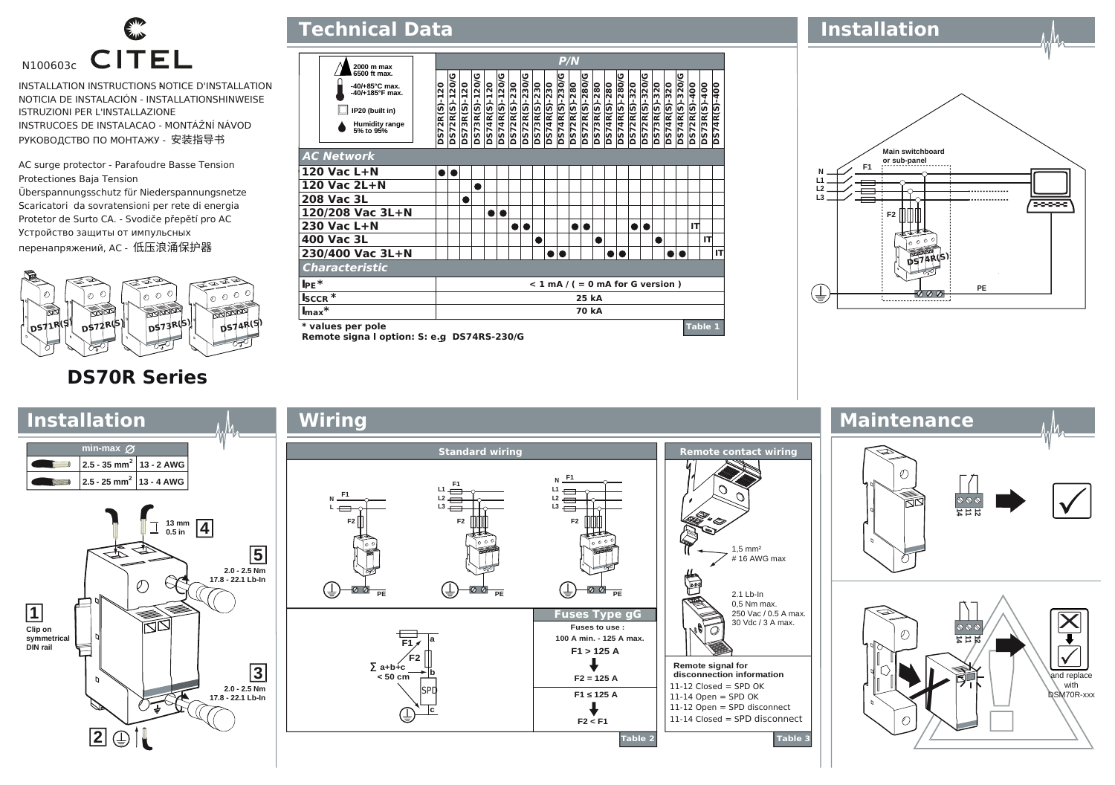

INSTALLATION INSTRUCTIONS NOTICE D'INSTALLATION NOTICIA DE INSTALACIÓN - INSTALLATIONSHINWEISE ISTRUZIONI PER L'INSTALLAZIONE INSTRUCOES DE INSTALACAO - MONTÁŽNÍ NÁVOD РУКОВОДСТВО ПО МОНТАЖУ - 安装指导书

AC surge protector - Parafoudre Basse Tension Protectiones Baja Tension Überspannungsschutz für Niederspannungsnetze Scaricatori da sovratensioni per rete di energia Protetor de Surto CA. - Svodiče přepětí pro AC Устройство защиты от импульсных перенапряжений, AC - 低压浪涌保护器



## **P/N 6500 ft max. 2000 m max DS72R(S)-120/G DS73R(S)-120/G DS74R(S)-120/G DS72R(S)-230/G DS74R(S)-230/G DS72R(S)-280/G DS74R(S)-280/G DS72R(S)-320/G DS74R(S)-320/G** DS73R(S)-120/<br>DS74R(S)-120 DS72R(S)-230<br>DS72R(S)-230/ **DS73R(S)-230**<br>DS74R(S)-230 **DS72R(S)-280<br>DS72R(S)-280/**  $-120/$ 021-(S)4220 0574R(S)-230 DS74R(S)-280 DS74R(S)-320  $-400$ **-40/+185°F max. -40/+85°C max. DS72R(S)-120** 3R(S)-120 **DS73R(S)-120 DS74R(S)-120 DS72R(S)-230 DS73R(S)-230 DS74R(S)-230 DS72R(S)-280 DS73R(S)-280 DS74R(S)-280 DS72R(S)-320 DS73R(S)-320 DS74R(S)-320 DS72R(S)-400 DS73R(S)-400 DS74R(S)-400** ř **DS73R(S)-<br>DS74R(S)**-**DS72R(S)-<br>DS73R(S)-<br>DS74R(S)-**3572R(S) **S74R(S) IP20 (built in) Humidity range 5% to 95% AC Network 120 Vac L+N** اه اه **120 Vac 2L+N** l o **208 Vac 3L**  $\bullet$ **120/208 Vac 3L+N** l el d **230 Vac L+N** lele lol **IT** ه ا ه **400 Vac 3L IT 230/400 Vac 3L+N IT Characteristic IPE\* < 1 mA / ( = 0 mA for G version ) ISCCR \* 25 kA Imax\* 70 kA \* values per pole Table 1**

**Technical Data**

**Remote signa l option: S: e.g DS74RS-230/G** 

**Installation**

**Main switchboard or sub-panel F1 N L2 L1 L3** ∕≂≂≂ **F2 DS74R(S) PE** (₹  $000$ 

**DS70R Series**